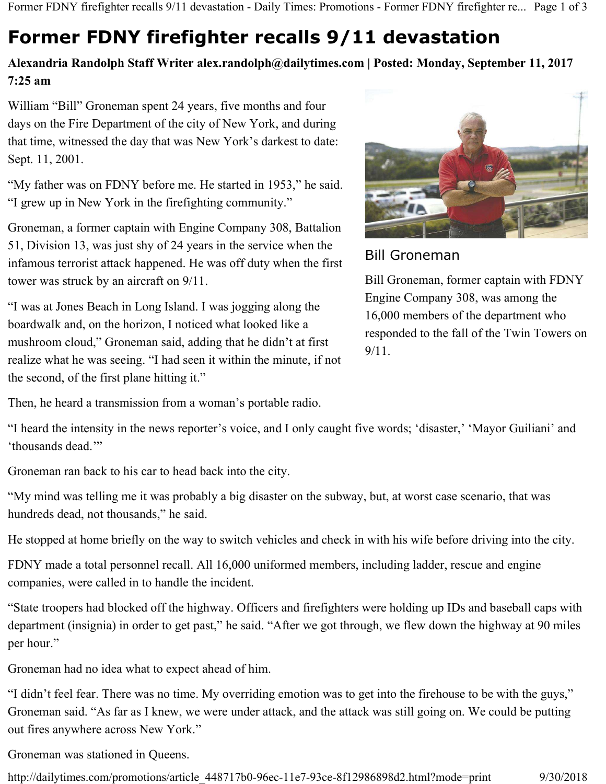Former FDNY firefighter recalls 9/11 devastation - Daily Times: Promotions - Former FDNY firefighter re... Page 1 of 3

# **Former FDNY firefighter recalls 9/11 devastation**

## **Alexandria Randolph Staff Writer alex.randolph@dailytimes.com | Posted: Monday, September 11, 2017 7:25 am**

William "Bill" Groneman spent 24 years, five months and four days on the Fire Department of the city of New York, and during that time, witnessed the day that was New York's darkest to date: Sept. 11, 2001.

"My father was on FDNY before me. He started in 1953," he said. "I grew up in New York in the firefighting community."

Groneman, a former captain with Engine Company 308, Battalion 51, Division 13, was just shy of 24 years in the service when the infamous terrorist attack happened. He was off duty when the first tower was struck by an aircraft on 9/11.

"I was at Jones Beach in Long Island. I was jogging along the boardwalk and, on the horizon, I noticed what looked like a mushroom cloud," Groneman said, adding that he didn't at first realize what he was seeing. "I had seen it within the minute, if not the second, of the first plane hitting it."

Then, he heard a transmission from a woman's portable radio.



## Bill Groneman

Bill Groneman, former captain with FDNY Engine Company 308, was among the 16,000 members of the department who responded to the fall of the Twin Towers on 9/11.

"I heard the intensity in the news reporter's voice, and I only caught five words; 'disaster,' 'Mayor Guiliani' and 'thousands dead.'"

Groneman ran back to his car to head back into the city.

"My mind was telling me it was probably a big disaster on the subway, but, at worst case scenario, that was hundreds dead, not thousands," he said.

He stopped at home briefly on the way to switch vehicles and check in with his wife before driving into the city.

FDNY made a total personnel recall. All 16,000 uniformed members, including ladder, rescue and engine companies, were called in to handle the incident.

"State troopers had blocked off the highway. Officers and firefighters were holding up IDs and baseball caps with department (insignia) in order to get past," he said. "After we got through, we flew down the highway at 90 miles per hour."

Groneman had no idea what to expect ahead of him.

"I didn't feel fear. There was no time. My overriding emotion was to get into the firehouse to be with the guys," Groneman said. "As far as I knew, we were under attack, and the attack was still going on. We could be putting out fires anywhere across New York."

Groneman was stationed in Queens.

http://dailytimes.com/promotions/article\_448717b0-96ec-11e7-93ce-8f12986898d2.html?mode=print 9/30/2018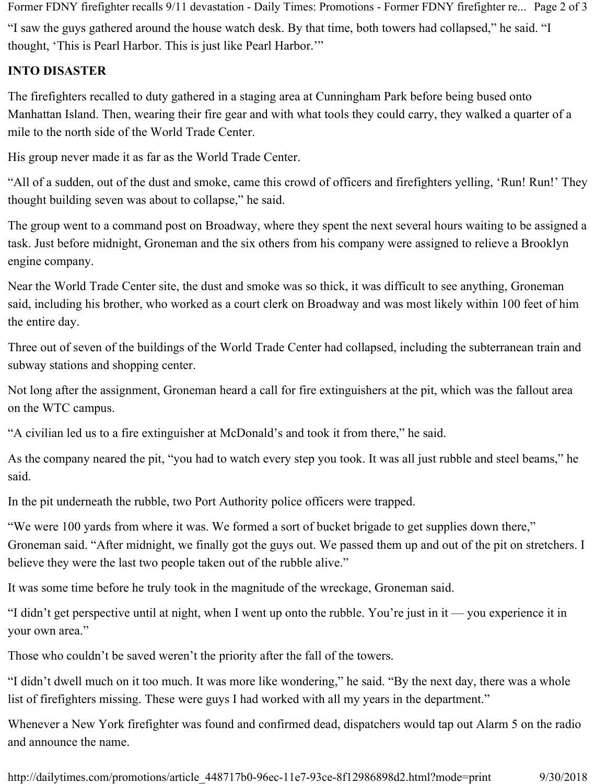"I saw the guys gathered around the house watch desk. By that time, both towers had collapsed," he said. "I thought, 'This is Pearl Harbor. This is just like Pearl Harbor.'" Former FDNY firefighter recalls 9/11 devastation - Daily Times: Promotions - Former FDNY firefighter re... Page 2 of 3

### **INTO DISASTER**

The firefighters recalled to duty gathered in a staging area at Cunningham Park before being bused onto Manhattan Island. Then, wearing their fire gear and with what tools they could carry, they walked a quarter of a mile to the north side of the World Trade Center.

His group never made it as far as the World Trade Center.

"All of a sudden, out of the dust and smoke, came this crowd of officers and firefighters yelling, 'Run! Run!' They thought building seven was about to collapse," he said.

The group went to a command post on Broadway, where they spent the next several hours waiting to be assigned a task. Just before midnight, Groneman and the six others from his company were assigned to relieve a Brooklyn engine company.

Near the World Trade Center site, the dust and smoke was so thick, it was difficult to see anything, Groneman said, including his brother, who worked as a court clerk on Broadway and was most likely within 100 feet of him the entire day.

Three out of seven of the buildings of the World Trade Center had collapsed, including the subterranean train and subway stations and shopping center.

Not long after the assignment, Groneman heard a call for fire extinguishers at the pit, which was the fallout area on the WTC campus.

"A civilian led us to a fire extinguisher at McDonald's and took it from there," he said.

As the company neared the pit, "you had to watch every step you took. It was all just rubble and steel beams," he said.

In the pit underneath the rubble, two Port Authority police officers were trapped.

"We were 100 yards from where it was. We formed a sort of bucket brigade to get supplies down there," Groneman said. "After midnight, we finally got the guys out. We passed them up and out of the pit on stretchers. I believe they were the last two people taken out of the rubble alive."

It was some time before he truly took in the magnitude of the wreckage, Groneman said.

"I didn't get perspective until at night, when I went up onto the rubble. You're just in it — you experience it in your own area."

Those who couldn't be saved weren't the priority after the fall of the towers.

"I didn't dwell much on it too much. It was more like wondering," he said. "By the next day, there was a whole list of firefighters missing. These were guys I had worked with all my years in the department."

Whenever a New York firefighter was found and confirmed dead, dispatchers would tap out Alarm 5 on the radio and announce the name.

http://dailytimes.com/promotions/article\_448717b0-96ec-11e7-93ce-8f12986898d2.html?mode=print 9/30/2018